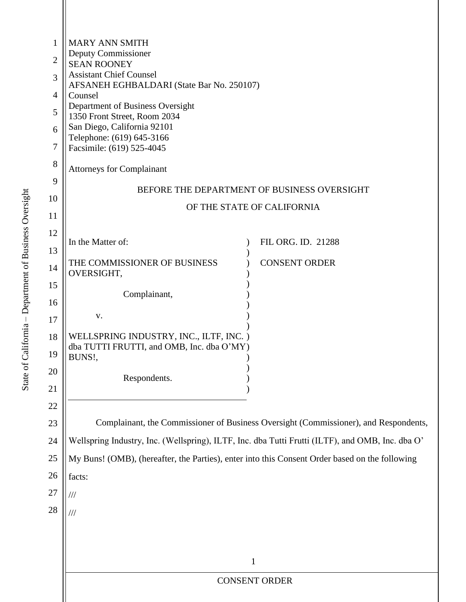| 1              | <b>MARY ANN SMITH</b>                                                                            |  |  |  |
|----------------|--------------------------------------------------------------------------------------------------|--|--|--|
| $\overline{2}$ | Deputy Commissioner                                                                              |  |  |  |
| 3              | <b>SEAN ROONEY</b><br><b>Assistant Chief Counsel</b>                                             |  |  |  |
|                | AFSANEH EGHBALDARI (State Bar No. 250107)                                                        |  |  |  |
| 4              | Counsel<br>Department of Business Oversight                                                      |  |  |  |
| 5              | 1350 Front Street, Room 2034<br>San Diego, California 92101                                      |  |  |  |
| 6              | Telephone: (619) 645-3166                                                                        |  |  |  |
| 7              | Facsimile: (619) 525-4045                                                                        |  |  |  |
| 8              | <b>Attorneys for Complainant</b>                                                                 |  |  |  |
| 9              | BEFORE THE DEPARTMENT OF BUSINESS OVERSIGHT                                                      |  |  |  |
| 10             | OF THE STATE OF CALIFORNIA                                                                       |  |  |  |
| 11             |                                                                                                  |  |  |  |
| 12             | In the Matter of:<br>FIL ORG. ID. 21288                                                          |  |  |  |
| 13             | THE COMMISSIONER OF BUSINESS<br><b>CONSENT ORDER</b>                                             |  |  |  |
| 14             | OVERSIGHT,                                                                                       |  |  |  |
| 15             | Complainant,                                                                                     |  |  |  |
| 16             |                                                                                                  |  |  |  |
| 17             | V.                                                                                               |  |  |  |
| 18<br>19       | WELLSPRING INDUSTRY, INC., ILTF, INC. )<br>dba TUTTI FRUTTI, and OMB, Inc. dba O'MY)<br>BUNS!,   |  |  |  |
| 20             |                                                                                                  |  |  |  |
| 21             | Respondents.                                                                                     |  |  |  |
| 22             |                                                                                                  |  |  |  |
| 23             | Complainant, the Commissioner of Business Oversight (Commissioner), and Respondents,             |  |  |  |
| 24             | Wellspring Industry, Inc. (Wellspring), ILTF, Inc. dba Tutti Frutti (ILTF), and OMB, Inc. dba O' |  |  |  |
| 25             | My Buns! (OMB), (hereafter, the Parties), enter into this Consent Order based on the following   |  |  |  |
| 26             | facts:                                                                                           |  |  |  |
| 27             | $/\!/ \!/$                                                                                       |  |  |  |
| 28             | $\frac{1}{1}$                                                                                    |  |  |  |
|                |                                                                                                  |  |  |  |
|                |                                                                                                  |  |  |  |
|                | $\mathbf{1}$                                                                                     |  |  |  |
|                | <b>CONSENT ORDER</b>                                                                             |  |  |  |
|                |                                                                                                  |  |  |  |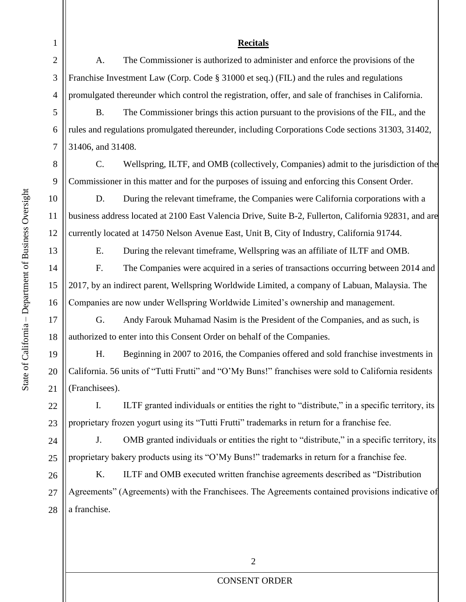## **Recitals**

A. The Commissioner is authorized to administer and enforce the provisions of the Franchise Investment Law (Corp. Code § 31000 et seq.) (FIL) and the rules and regulations promulgated thereunder which control the registration, offer, and sale of franchises in California.

B. The Commissioner brings this action pursuant to the provisions of the FIL, and the rules and regulations promulgated thereunder, including Corporations Code sections 31303, 31402, 31406, and 31408.

C. Wellspring, ILTF, and OMB (collectively, Companies) admit to the jurisdiction of the Commissioner in this matter and for the purposes of issuing and enforcing this Consent Order.

D. During the relevant timeframe, the Companies were California corporations with a business address located at 2100 East Valencia Drive, Suite B-2, Fullerton, California 92831, and are currently located at 14750 Nelson Avenue East, Unit B, City of Industry, California 91744.

1

2

3

4

5

6

7

8

9

10

11

12

13

14

15

16

17

18

19

20

21

22

23

24

25

27

E. During the relevant timeframe, Wellspring was an affiliate of ILTF and OMB.

F. The Companies were acquired in a series of transactions occurring between 2014 and 2017, by an indirect parent, Wellspring Worldwide Limited, a company of Labuan, Malaysia. The Companies are now under Wellspring Worldwide Limited's ownership and management.

G. Andy Farouk Muhamad Nasim is the President of the Companies, and as such, is authorized to enter into this Consent Order on behalf of the Companies.

H. Beginning in 2007 to 2016, the Companies offered and sold franchise investments in California. 56 units of "Tutti Frutti" and "O'My Buns!" franchises were sold to California residents (Franchisees).

I. ILTF granted individuals or entities the right to "distribute," in a specific territory, its proprietary frozen yogurt using its "Tutti Frutti" trademarks in return for a franchise fee.

J. OMB granted individuals or entities the right to "distribute," in a specific territory, its proprietary bakery products using its "O'My Buns!" trademarks in return for a franchise fee.

26 28 K. ILTF and OMB executed written franchise agreements described as "Distribution Agreements" (Agreements) with the Franchisees. The Agreements contained provisions indicative of a franchise.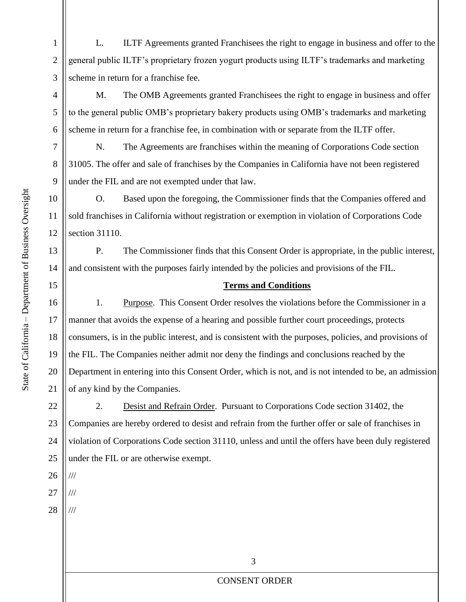L. ILTF Agreements granted Franchisees the right to engage in business and offer to the general public ILTF's proprietary frozen yogurt products using ILTF's trademarks and marketing scheme in return for a franchise fee.

M. The OMB Agreements granted Franchisees the right to engage in business and offer to the general public OMB's proprietary bakery products using OMB's trademarks and marketing scheme in return for a franchise fee, in combination with or separate from the ILTF offer.

N. The Agreements are franchises within the meaning of Corporations Code section 31005. The offer and sale of franchises by the Companies in California have not been registered under the FIL and are not exempted under that law.

O. Based upon the foregoing, the Commissioner finds that the Companies offered and sold franchises in California without registration or exemption in violation of Corporations Code section 31110.

P. The Commissioner finds that this Consent Order is appropriate, in the public interest, and consistent with the purposes fairly intended by the policies and provisions of the FIL.

## **Terms and Conditions**

1. Purpose. This Consent Order resolves the violations before the Commissioner in a manner that avoids the expense of a hearing and possible further court proceedings, protects consumers, is in the public interest, and is consistent with the purposes, policies, and provisions of the FIL. The Companies neither admit nor deny the findings and conclusions reached by the Department in entering into this Consent Order, which is not, and is not intended to be, an admission of any kind by the Companies.

24 2. Desist and Refrain Order. Pursuant to Corporations Code section 31402, the Companies are hereby ordered to desist and refrain from the further offer or sale of franchises in violation of Corporations Code section 31110, unless and until the offers have been duly registered under the FIL or are otherwise exempt.

27

///

///

28 ///

1

2

3

4

5

6

7

8

9

10

11

12

13

14

15

16

17

18

19

20

21

22

23

25

26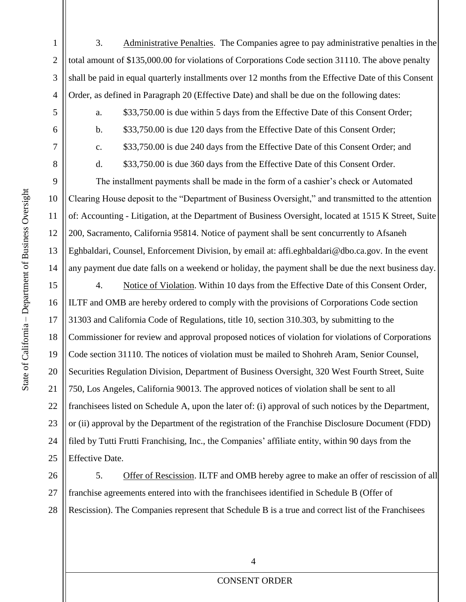1

2

3

4

5

6

7

8

9

20

21

22

23

24

25

3. Administrative Penalties. The Companies agree to pay administrative penalties in the total amount of \$135,000.00 for violations of Corporations Code section 31110. The above penalty shall be paid in equal quarterly installments over 12 months from the Effective Date of this Consent Order, as defined in Paragraph 20 (Effective Date) and shall be due on the following dates:

a. \$33,750.00 is due within 5 days from the Effective Date of this Consent Order;

b. \$33,750.00 is due 120 days from the Effective Date of this Consent Order;

c. \$33,750.00 is due 240 days from the Effective Date of this Consent Order; and

d. \$33,750.00 is due 360 days from the Effective Date of this Consent Order.

The installment payments shall be made in the form of a cashier's check or Automated Clearing House deposit to the "Department of Business Oversight," and transmitted to the attention of: Accounting - Litigation, at the Department of Business Oversight, located at 1515 K Street, Suite 200, Sacramento, California 95814. Notice of payment shall be sent concurrently to Afsaneh Eghbaldari, Counsel, Enforcement Division, by email at: affi.eghbaldari@dbo.ca.gov. In the event any payment due date falls on a weekend or holiday, the payment shall be due the next business day.

4. Notice of Violation. Within 10 days from the Effective Date of this Consent Order, ILTF and OMB are hereby ordered to comply with the provisions of Corporations Code section 31303 and California Code of Regulations, title 10, section 310.303, by submitting to the Commissioner for review and approval proposed notices of violation for violations of Corporations Code section 31110. The notices of violation must be mailed to Shohreh Aram, Senior Counsel, Securities Regulation Division, Department of Business Oversight, 320 West Fourth Street, Suite 750, Los Angeles, California 90013. The approved notices of violation shall be sent to all franchisees listed on Schedule A, upon the later of: (i) approval of such notices by the Department, or (ii) approval by the Department of the registration of the Franchise Disclosure Document (FDD) filed by Tutti Frutti Franchising, Inc., the Companies' affiliate entity, within 90 days from the Effective Date.

26 27 28 5. Offer of Rescission. ILTF and OMB hereby agree to make an offer of rescission of all franchise agreements entered into with the franchisees identified in Schedule B (Offer of Rescission). The Companies represent that Schedule B is a true and correct list of the Franchisees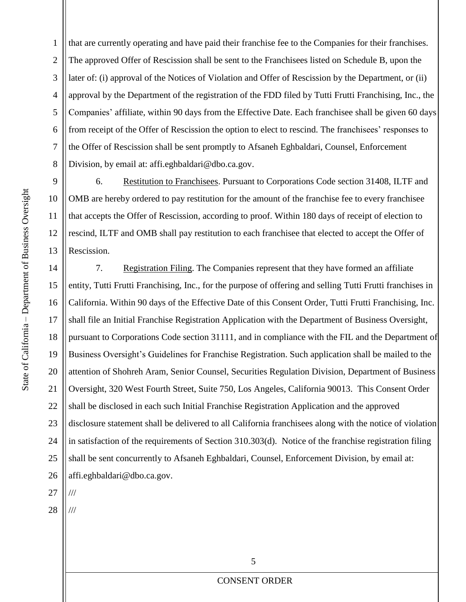1 2 3 4 5 6 7 8 that are currently operating and have paid their franchise fee to the Companies for their franchises. The approved Offer of Rescission shall be sent to the Franchisees listed on Schedule B, upon the later of: (i) approval of the Notices of Violation and Offer of Rescission by the Department, or (ii) approval by the Department of the registration of the FDD filed by Tutti Frutti Franchising, Inc., the Companies' affiliate, within 90 days from the Effective Date. Each franchisee shall be given 60 days from receipt of the Offer of Rescission the option to elect to rescind. The franchisees' responses to the Offer of Rescission shall be sent promptly to Afsaneh Eghbaldari, Counsel, Enforcement Division, by email at: affi.eghbaldari@dbo.ca.gov.

6. Restitution to Franchisees. Pursuant to Corporations Code section 31408, ILTF and OMB are hereby ordered to pay restitution for the amount of the franchise fee to every franchisee that accepts the Offer of Rescission, according to proof. Within 180 days of receipt of election to rescind, ILTF and OMB shall pay restitution to each franchisee that elected to accept the Offer of Rescission.

14 15 16 17 18 19 20 21 22 23 24 25 26 7. Registration Filing. The Companies represent that they have formed an affiliate entity, Tutti Frutti Franchising, Inc., for the purpose of offering and selling Tutti Frutti franchises in California. Within 90 days of the Effective Date of this Consent Order, Tutti Frutti Franchising, Inc. shall file an Initial Franchise Registration Application with the Department of Business Oversight, pursuant to Corporations Code section 31111, and in compliance with the FIL and the Department of Business Oversight's Guidelines for Franchise Registration. Such application shall be mailed to the attention of Shohreh Aram, Senior Counsel, Securities Regulation Division, Department of Business Oversight, 320 West Fourth Street, Suite 750, Los Angeles, California 90013. This Consent Order shall be disclosed in each such Initial Franchise Registration Application and the approved disclosure statement shall be delivered to all California franchisees along with the notice of violation in satisfaction of the requirements of Section 310.303(d). Notice of the franchise registration filing shall be sent concurrently to Afsaneh Eghbaldari, Counsel, Enforcement Division, by email at: affi.eghbaldari@dbo.ca.gov.

27 ///

28 ///

9

10

11

12

13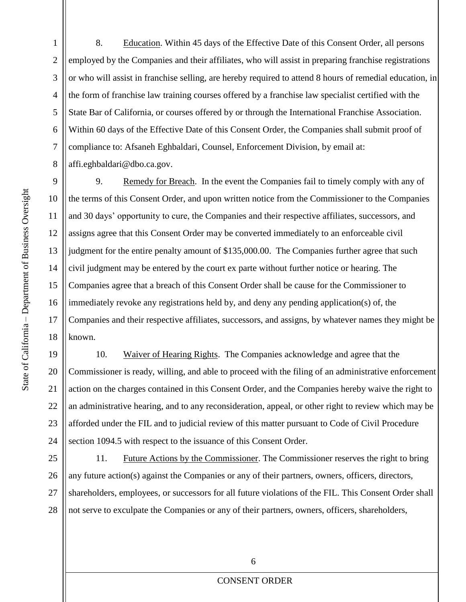8. Education. Within 45 days of the Effective Date of this Consent Order, all persons employed by the Companies and their affiliates, who will assist in preparing franchise registrations or who will assist in franchise selling, are hereby required to attend 8 hours of remedial education, in the form of franchise law training courses offered by a franchise law specialist certified with the State Bar of California, or courses offered by or through the International Franchise Association. Within 60 days of the Effective Date of this Consent Order, the Companies shall submit proof of compliance to: Afsaneh Eghbaldari, Counsel, Enforcement Division, by email at: affi.eghbaldari@dbo.ca.gov.

9 10 11 12 13 14 15 16 17 18 9. Remedy for Breach. In the event the Companies fail to timely comply with any of the terms of this Consent Order, and upon written notice from the Commissioner to the Companies and 30 days' opportunity to cure, the Companies and their respective affiliates, successors, and assigns agree that this Consent Order may be converted immediately to an enforceable civil judgment for the entire penalty amount of \$135,000.00. The Companies further agree that such civil judgment may be entered by the court ex parte without further notice or hearing. The Companies agree that a breach of this Consent Order shall be cause for the Commissioner to immediately revoke any registrations held by, and deny any pending application(s) of, the Companies and their respective affiliates, successors, and assigns, by whatever names they might be known.

24 10. Waiver of Hearing Rights. The Companies acknowledge and agree that the Commissioner is ready, willing, and able to proceed with the filing of an administrative enforcement action on the charges contained in this Consent Order, and the Companies hereby waive the right to an administrative hearing, and to any reconsideration, appeal, or other right to review which may be afforded under the FIL and to judicial review of this matter pursuant to Code of Civil Procedure section 1094.5 with respect to the issuance of this Consent Order.

25 26 27 28 11. Future Actions by the Commissioner. The Commissioner reserves the right to bring any future action(s) against the Companies or any of their partners, owners, officers, directors, shareholders, employees, or successors for all future violations of the FIL. This Consent Order shall not serve to exculpate the Companies or any of their partners, owners, officers, shareholders,

19

20

21

22

23

1

2

3

4

5

6

7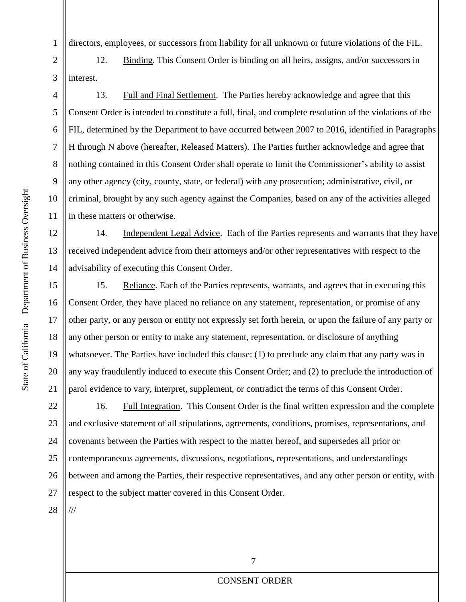1

4

5

6

7

8

9

10

11

12

13

14

15

16

17

18

19

20

21

directors, employees, or successors from liability for all unknown or future violations of the FIL.

2 3 12. Binding. This Consent Order is binding on all heirs, assigns, and/or successors in interest.

13. Full and Final Settlement. The Parties hereby acknowledge and agree that this Consent Order is intended to constitute a full, final, and complete resolution of the violations of the FIL, determined by the Department to have occurred between 2007 to 2016, identified in Paragraphs H through N above (hereafter, Released Matters). The Parties further acknowledge and agree that nothing contained in this Consent Order shall operate to limit the Commissioner's ability to assist any other agency (city, county, state, or federal) with any prosecution; administrative, civil, or criminal, brought by any such agency against the Companies, based on any of the activities alleged in these matters or otherwise.

14. Independent Legal Advice. Each of the Parties represents and warrants that they have received independent advice from their attorneys and/or other representatives with respect to the advisability of executing this Consent Order.

15. Reliance. Each of the Parties represents, warrants, and agrees that in executing this Consent Order, they have placed no reliance on any statement, representation, or promise of any other party, or any person or entity not expressly set forth herein, or upon the failure of any party or any other person or entity to make any statement, representation, or disclosure of anything whatsoever. The Parties have included this clause: (1) to preclude any claim that any party was in any way fraudulently induced to execute this Consent Order; and (2) to preclude the introduction of parol evidence to vary, interpret, supplement, or contradict the terms of this Consent Order.

22 23 24 25 26 27 16. Full Integration. This Consent Order is the final written expression and the complete and exclusive statement of all stipulations, agreements, conditions, promises, representations, and covenants between the Parties with respect to the matter hereof, and supersedes all prior or contemporaneous agreements, discussions, negotiations, representations, and understandings between and among the Parties, their respective representatives, and any other person or entity, with respect to the subject matter covered in this Consent Order.

28 ///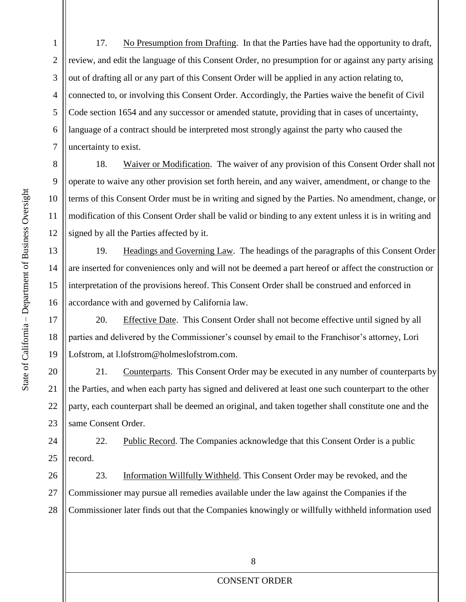1 2 3 4 5 6 7 17. No Presumption from Drafting. In that the Parties have had the opportunity to draft, review, and edit the language of this Consent Order, no presumption for or against any party arising out of drafting all or any part of this Consent Order will be applied in any action relating to, connected to, or involving this Consent Order. Accordingly, the Parties waive the benefit of Civil Code section 1654 and any successor or amended statute, providing that in cases of uncertainty, language of a contract should be interpreted most strongly against the party who caused the uncertainty to exist.

18. Waiver or Modification. The waiver of any provision of this Consent Order shall not operate to waive any other provision set forth herein, and any waiver, amendment, or change to the terms of this Consent Order must be in writing and signed by the Parties. No amendment, change, or modification of this Consent Order shall be valid or binding to any extent unless it is in writing and signed by all the Parties affected by it.

19. Headings and Governing Law. The headings of the paragraphs of this Consent Order are inserted for conveniences only and will not be deemed a part hereof or affect the construction or interpretation of the provisions hereof. This Consent Order shall be construed and enforced in accordance with and governed by California law.

17 18 19 20. Effective Date. This Consent Order shall not become effective until signed by all parties and delivered by the Commissioner's counsel by email to the Franchisor's attorney, Lori Lofstrom, at l.lofstrom@holmeslofstrom.com.

21. Counterparts. This Consent Order may be executed in any number of counterparts by the Parties, and when each party has signed and delivered at least one such counterpart to the other party, each counterpart shall be deemed an original, and taken together shall constitute one and the same Consent Order.

24 25 22. Public Record. The Companies acknowledge that this Consent Order is a public record.

26 27 28 23. Information Willfully Withheld. This Consent Order may be revoked, and the Commissioner may pursue all remedies available under the law against the Companies if the Commissioner later finds out that the Companies knowingly or willfully withheld information used

8

9

10

11

12

13

14

15

16

20

21

22

23

## CONSENT ORDER